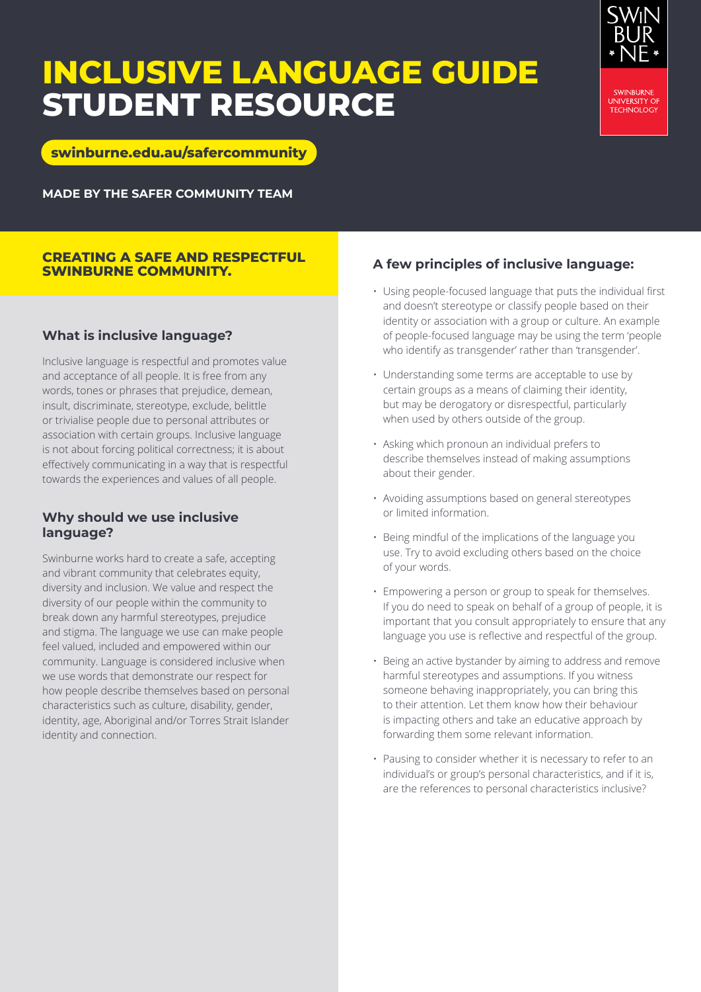## **INCLUSIVE LANGUAGE GUIDE STUDENT RESOURCE**



**[swinburne.edu.au/safercommunity](http://www.swinburne.edu.au/safercommunity)**

**MADE BY THE SAFER COMMUNITY TEAM**

#### **CREATING A SAFE AND RESPECTFUL SWINBURNE COMMUNITY.**

## **What is inclusive language?**

Inclusive language is respectful and promotes value and acceptance of all people. It is free from any words, tones or phrases that prejudice, demean, insult, discriminate, stereotype, exclude, belittle or trivialise people due to personal attributes or association with certain groups. Inclusive language is not about forcing political correctness; it is about effectively communicating in a way that is respectful towards the experiences and values of all people.

## **Why should we use inclusive language?**

Swinburne works hard to create a safe, accepting and vibrant community that celebrates equity, diversity and inclusion. We value and respect the diversity of our people within the community to break down any harmful stereotypes, prejudice and stigma. The language we use can make people feel valued, included and empowered within our community. Language is considered inclusive when we use words that demonstrate our respect for how people describe themselves based on personal characteristics such as culture, disability, gender, identity, age, Aboriginal and/or Torres Strait Islander identity and connection.

## **A few principles of inclusive language:**

- Using people-focused language that puts the individual first and doesn't stereotype or classify people based on their identity or association with a group or culture. An example of people-focused language may be using the term 'people who identify as transgender' rather than 'transgender'.
- Understanding some terms are acceptable to use by certain groups as a means of claiming their identity, but may be derogatory or disrespectful, particularly when used by others outside of the group.
- Asking which pronoun an individual prefers to describe themselves instead of making assumptions about their gender.
- Avoiding assumptions based on general stereotypes or limited information.
- Being mindful of the implications of the language you use. Try to avoid excluding others based on the choice of your words.
- Empowering a person or group to speak for themselves. If you do need to speak on behalf of a group of people, it is important that you consult appropriately to ensure that any language you use is reflective and respectful of the group.
- Being an active bystander by aiming to address and remove harmful stereotypes and assumptions. If you witness someone behaving inappropriately, you can bring this to their attention. Let them know how their behaviour is impacting others and take an educative approach by forwarding them some relevant information.
- Pausing to consider whether it is necessary to refer to an individual's or group's personal characteristics, and if it is, are the references to personal characteristics inclusive?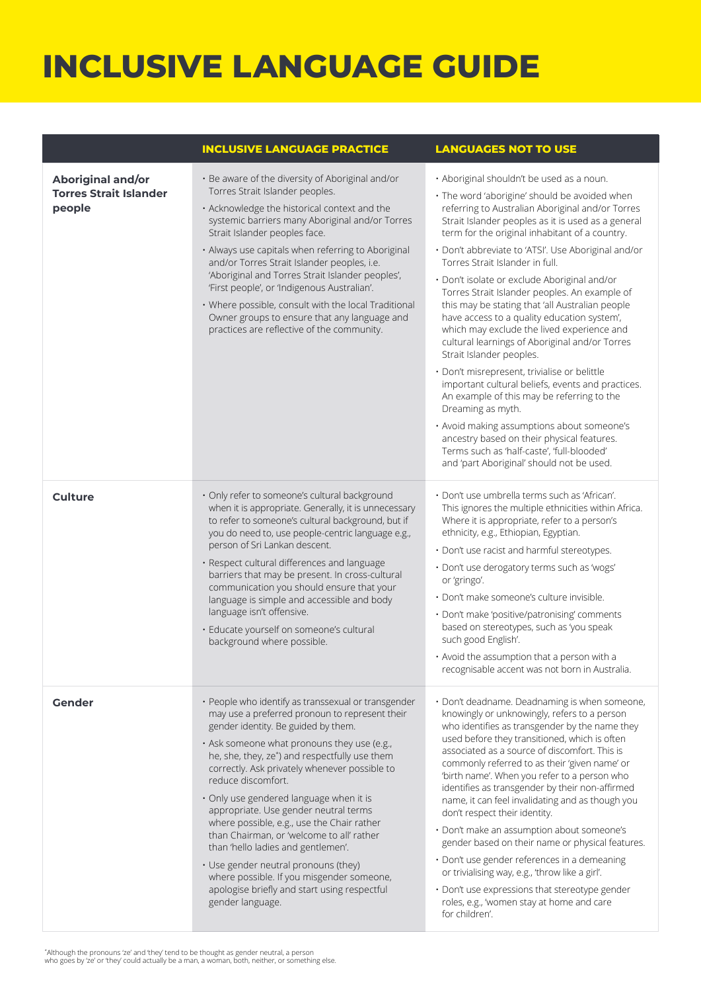## **INCLUSIVE LANGUAGE GUIDE**

|                                                              | <b>INCLUSIVE LANGUAGE PRACTICE</b>                                                                                                                                                                                                                                                                                                                                                                                                                                                                                                                                                                                                                                                                | <b>LANGUAGES NOT TO USE</b>                                                                                                                                                                                                                                                                                                                                                                                                                                                                                                                                                                                                                                                                                                                                                                                                                                                                                                                                                                                                                    |
|--------------------------------------------------------------|---------------------------------------------------------------------------------------------------------------------------------------------------------------------------------------------------------------------------------------------------------------------------------------------------------------------------------------------------------------------------------------------------------------------------------------------------------------------------------------------------------------------------------------------------------------------------------------------------------------------------------------------------------------------------------------------------|------------------------------------------------------------------------------------------------------------------------------------------------------------------------------------------------------------------------------------------------------------------------------------------------------------------------------------------------------------------------------------------------------------------------------------------------------------------------------------------------------------------------------------------------------------------------------------------------------------------------------------------------------------------------------------------------------------------------------------------------------------------------------------------------------------------------------------------------------------------------------------------------------------------------------------------------------------------------------------------------------------------------------------------------|
| Aboriginal and/or<br><b>Torres Strait Islander</b><br>people | · Be aware of the diversity of Aboriginal and/or<br>Torres Strait Islander peoples.<br>· Acknowledge the historical context and the<br>systemic barriers many Aboriginal and/or Torres<br>Strait Islander peoples face.<br>· Always use capitals when referring to Aboriginal<br>and/or Torres Strait Islander peoples, i.e.<br>'Aboriginal and Torres Strait Islander peoples',<br>'First people', or 'Indigenous Australian'.<br>· Where possible, consult with the local Traditional<br>Owner groups to ensure that any language and<br>practices are reflective of the community.                                                                                                             | · Aboriginal shouldn't be used as a noun.<br>· The word 'aborigine' should be avoided when<br>referring to Australian Aboriginal and/or Torres<br>Strait Islander peoples as it is used as a general<br>term for the original inhabitant of a country.<br>· Don't abbreviate to 'ATSI'. Use Aboriginal and/or<br>Torres Strait Islander in full.<br>· Don't isolate or exclude Aboriginal and/or<br>Torres Strait Islander peoples. An example of<br>this may be stating that 'all Australian people<br>have access to a quality education system',<br>which may exclude the lived experience and<br>cultural learnings of Aboriginal and/or Torres<br>Strait Islander peoples.<br>· Don't misrepresent, trivialise or belittle<br>important cultural beliefs, events and practices.<br>An example of this may be referring to the<br>Dreaming as myth.<br>· Avoid making assumptions about someone's<br>ancestry based on their physical features.<br>Terms such as 'half-caste', 'full-blooded'<br>and 'part Aboriginal' should not be used. |
| <b>Culture</b>                                               | · Only refer to someone's cultural background<br>when it is appropriate. Generally, it is unnecessary<br>to refer to someone's cultural background, but if<br>you do need to, use people-centric language e.g.,<br>person of Sri Lankan descent.<br>· Respect cultural differences and language<br>barriers that may be present. In cross-cultural<br>communication you should ensure that your<br>language is simple and accessible and body<br>language isn't offensive.<br>· Educate yourself on someone's cultural<br>background where possible.                                                                                                                                              | · Don't use umbrella terms such as 'African'.<br>This ignores the multiple ethnicities within Africa.<br>Where it is appropriate, refer to a person's<br>ethnicity, e.g., Ethiopian, Egyptian.<br>· Don't use racist and harmful stereotypes.<br>· Don't use derogatory terms such as 'wogs'<br>or 'gringo'.<br>· Don't make someone's culture invisible.<br>· Don't make 'positive/patronising' comments<br>based on stereotypes, such as 'you speak<br>such good English'.<br>· Avoid the assumption that a person with a<br>recognisable accent was not born in Australia.                                                                                                                                                                                                                                                                                                                                                                                                                                                                  |
| Gender                                                       | · People who identify as transsexual or transgender<br>may use a preferred pronoun to represent their<br>gender identity. Be guided by them.<br>· Ask someone what pronouns they use (e.g.,<br>he, she, they, ze*) and respectfully use them<br>correctly. Ask privately whenever possible to<br>reduce discomfort.<br>· Only use gendered language when it is<br>appropriate. Use gender neutral terms<br>where possible, e.g., use the Chair rather<br>than Chairman, or 'welcome to all' rather<br>than 'hello ladies and gentlemen'.<br>• Use gender neutral pronouns (they)<br>where possible. If you misgender someone,<br>apologise briefly and start using respectful<br>gender language. | · Don't deadname. Deadnaming is when someone,<br>knowingly or unknowingly, refers to a person<br>who identifies as transgender by the name they<br>used before they transitioned, which is often<br>associated as a source of discomfort. This is<br>commonly referred to as their 'given name' or<br>'birth name'. When you refer to a person who<br>identifies as transgender by their non-affirmed<br>name, it can feel invalidating and as though you<br>don't respect their identity.<br>· Don't make an assumption about someone's<br>gender based on their name or physical features.<br>· Don't use gender references in a demeaning<br>or trivialising way, e.g., 'throw like a girl'.<br>• Don't use expressions that stereotype gender<br>roles, e.g., 'women stay at home and care<br>for children'.                                                                                                                                                                                                                               |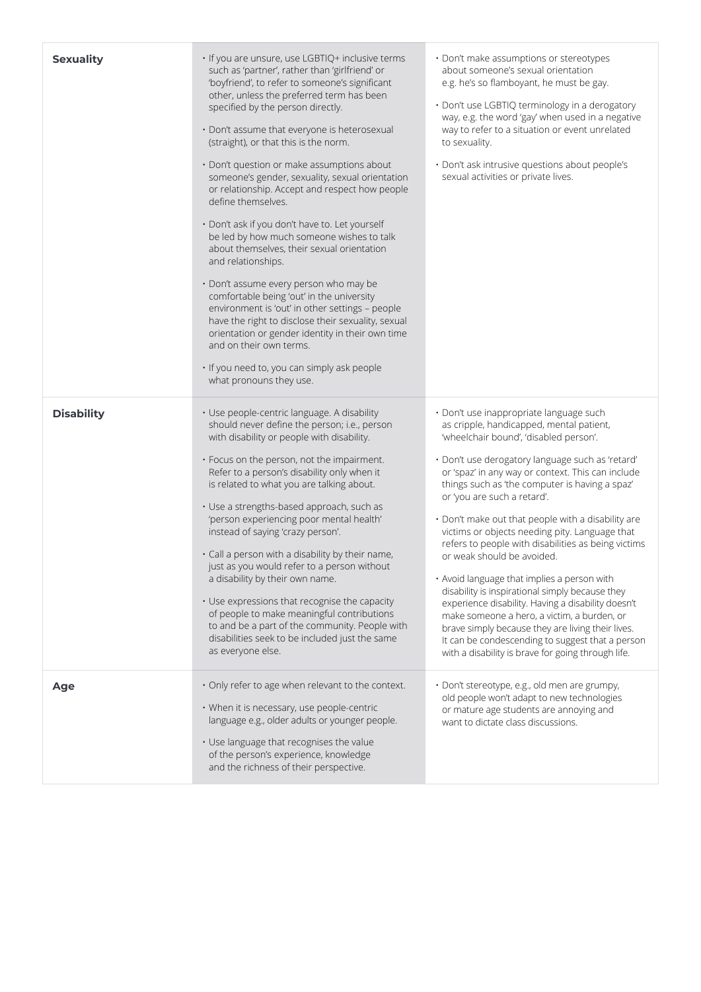| <b>Sexuality</b>  | · If you are unsure, use LGBTIQ+ inclusive terms<br>such as 'partner', rather than 'girlfriend' or<br>'boyfriend', to refer to someone's significant<br>other, unless the preferred term has been<br>specified by the person directly.<br>· Don't assume that everyone is heterosexual<br>(straight), or that this is the norm.<br>· Don't question or make assumptions about<br>someone's gender, sexuality, sexual orientation<br>or relationship. Accept and respect how people<br>define themselves.<br>· Don't ask if you don't have to. Let yourself<br>be led by how much someone wishes to talk<br>about themselves, their sexual orientation<br>and relationships.<br>· Don't assume every person who may be<br>comfortable being 'out' in the university<br>environment is 'out' in other settings - people<br>have the right to disclose their sexuality, sexual<br>orientation or gender identity in their own time<br>and on their own terms.<br>· If you need to, you can simply ask people<br>what pronouns they use. | · Don't make assumptions or stereotypes<br>about someone's sexual orientation<br>e.g. he's so flamboyant, he must be gay.<br>· Don't use LGBTIQ terminology in a derogatory<br>way, e.g. the word 'gay' when used in a negative<br>way to refer to a situation or event unrelated<br>to sexuality.<br>· Don't ask intrusive questions about people's<br>sexual activities or private lives.                                                                                                                                                                                                                                                                                                                                                                                                                                                                                                |
|-------------------|--------------------------------------------------------------------------------------------------------------------------------------------------------------------------------------------------------------------------------------------------------------------------------------------------------------------------------------------------------------------------------------------------------------------------------------------------------------------------------------------------------------------------------------------------------------------------------------------------------------------------------------------------------------------------------------------------------------------------------------------------------------------------------------------------------------------------------------------------------------------------------------------------------------------------------------------------------------------------------------------------------------------------------------|--------------------------------------------------------------------------------------------------------------------------------------------------------------------------------------------------------------------------------------------------------------------------------------------------------------------------------------------------------------------------------------------------------------------------------------------------------------------------------------------------------------------------------------------------------------------------------------------------------------------------------------------------------------------------------------------------------------------------------------------------------------------------------------------------------------------------------------------------------------------------------------------|
| <b>Disability</b> | · Use people-centric language. A disability<br>should never define the person; i.e., person<br>with disability or people with disability.<br>. Focus on the person, not the impairment.<br>Refer to a person's disability only when it<br>is related to what you are talking about.<br>· Use a strengths-based approach, such as<br>'person experiencing poor mental health'<br>instead of saying 'crazy person'.<br>· Call a person with a disability by their name,<br>just as you would refer to a person without<br>a disability by their own name.<br>• Use expressions that recognise the capacity<br>of people to make meaningful contributions<br>to and be a part of the community. People with<br>disabilities seek to be included just the same<br>as everyone else.                                                                                                                                                                                                                                                      | · Don't use inappropriate language such<br>as cripple, handicapped, mental patient,<br>'wheelchair bound', 'disabled person'.<br>· Don't use derogatory language such as 'retard'<br>or 'spaz' in any way or context. This can include<br>things such as 'the computer is having a spaz'<br>or 'you are such a retard'.<br>· Don't make out that people with a disability are<br>victims or objects needing pity. Language that<br>refers to people with disabilities as being victims<br>or weak should be avoided.<br>• Avoid language that implies a person with<br>disability is inspirational simply because they<br>experience disability. Having a disability doesn't<br>make someone a hero, a victim, a burden, or<br>brave simply because they are living their lives.<br>It can be condescending to suggest that a person<br>with a disability is brave for going through life. |
| Age               | . Only refer to age when relevant to the context.<br>• When it is necessary, use people-centric<br>language e.g., older adults or younger people.<br>• Use language that recognises the value<br>of the person's experience, knowledge<br>and the richness of their perspective.                                                                                                                                                                                                                                                                                                                                                                                                                                                                                                                                                                                                                                                                                                                                                     | · Don't stereotype, e.g., old men are grumpy,<br>old people won't adapt to new technologies<br>or mature age students are annoying and<br>want to dictate class discussions.                                                                                                                                                                                                                                                                                                                                                                                                                                                                                                                                                                                                                                                                                                               |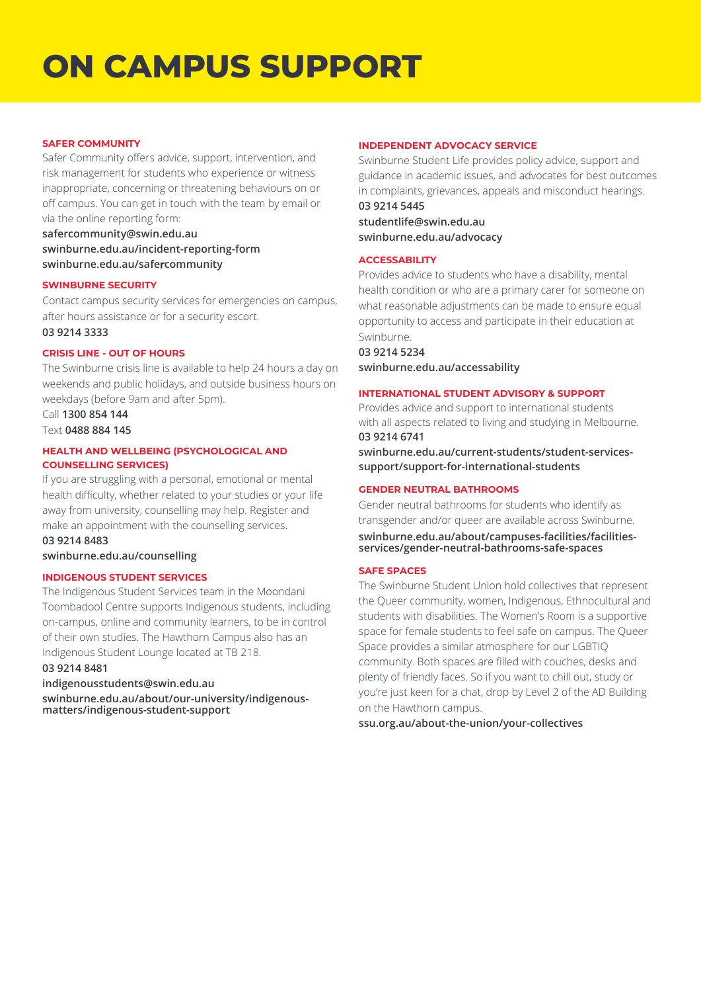# **ON CAMPUS SUPPORT**

#### **SAFER COMMUNITY**

Safer Community offers advice, support, intervention, and risk management for students who experience or witness inappropriate, concerning or threatening behaviours on or off campus. You can get in touch with the team by email or via the online reporting form:

### **[safercommunity@swin.edu.au](mailto:safercommunity%40swin.edu.au?subject=) [swinburne.edu.au/incident-reporting-form](http://swinburne.edu.au/incident-reporting-form) [swinburne.edu.au/safe](http://swinburne.edu.au/safercommunity)rcommunity**

#### **SWINBURNE SECURITY**

Contact campus security services for emergencies on campus, after hours assistance or for a security escort.

**03 9214 3333**

#### **CRISIS LINE - OUT OF HOURS**

The Swinburne crisis line is available to help 24 hours a day on weekends and public holidays, and outside business hours on weekdays (before 9am and after 5pm).

Call **1300 854 144** Text **0488 884 145**

#### **HEALTH AND WELLBEING (PSYCHOLOGICAL AND COUNSELLING SERVICES)**

If you are struggling with a personal, emotional or mental health difficulty, whether related to your studies or your life away from university, counselling may help. Register and make an appointment with the counselling services.

### **03 9214 8483**

**[swinburne.edu.au/counselling](http://swinburne.edu.au/counselling)**

#### **INDIGENOUS STUDENT SERVICES**

The Indigenous Student Services team in the Moondani Toombadool Centre supports Indigenous students, including on-campus, online and community learners, to be in control of their own studies. The Hawthorn Campus also has an Indigenous Student Lounge located at TB 218.

#### **03 9214 8481**

#### **[indigenousstudents@swin.edu.au](mailto:indigenousstudents%40swin.edu.au?subject=)**

**[swinburne.edu.au/about/our-university/indigenous](http://swinburne.edu.au/about/our-university/indigenous-matters/indigenous-student-support/)[matters/indigenous-student-support](http://swinburne.edu.au/about/our-university/indigenous-matters/indigenous-student-support/)**

#### **INDEPENDENT ADVOCACY SERVICE**

Swinburne Student Life provides policy advice, support and guidance in academic issues, and advocates for best outcomes in complaints, grievances, appeals and misconduct hearings. **03 9214 5445** 

**[studentlife@swin.edu.au](mailto:studentlife%40swin.edu.au%20?subject=)  [swinburne.edu.au/advocacy](http://swinburne.edu.au/advocacy)**

#### **ACCESSABILITY**

Provides advice to students who have a disability, mental health condition or who are a primary carer for someone on what reasonable adjustments can be made to ensure equal opportunity to access and participate in their education at Swinburne.

#### **03 9214 5234**

**[swinburne.edu.au/accessability](http://swinburne.edu.au/accessability)**

#### **INTERNATIONAL STUDENT ADVISORY & SUPPORT**

Provides advice and support to international students with all aspects related to living and studying in Melbourne. **03 9214 6741**

**[swinburne.edu.au/current-students/student-services](http://swinburne.edu.au/current-students/student-services-support/support-for-international-students)[support/support-for-international-students](http://swinburne.edu.au/current-students/student-services-support/support-for-international-students)**

#### **GENDER NEUTRAL BATHROOMS**

Gender neutral bathrooms for students who identify as transgender and/or queer are available across Swinburne.

**[swinburne.edu.au/about/campuses-facilities/facilities](http://swinburne.edu.au/about/campuses-facilities/facilities-services/gender-neutral-bathrooms-safe-spaces/)[services/gender-neutral-bathrooms-safe-spaces](http://swinburne.edu.au/about/campuses-facilities/facilities-services/gender-neutral-bathrooms-safe-spaces/)**

#### **SAFE SPACES**

The Swinburne Student Union hold collectives that represent the Queer community, women, Indigenous, Ethnocultural and students with disabilities. The Women's Room is a supportive space for female students to feel safe on campus. The Queer Space provides a similar atmosphere for our LGBTIQ community. Both spaces are filled with couches, desks and plenty of friendly faces. So if you want to chill out, study or you're just keen for a chat, drop by Level 2 of the AD Building on the Hawthorn campus.

**[ssu.org.au/about-the-union/your-collectives](http://ssu.org.au/about-the-union/your-collectives/)**